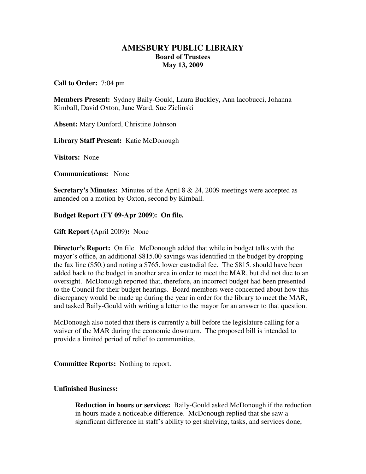## **AMESBURY PUBLIC LIBRARY Board of Trustees May 13, 2009**

**Call to Order:** 7:04 pm

**Members Present:** Sydney Baily-Gould, Laura Buckley, Ann Iacobucci, Johanna Kimball, David Oxton, Jane Ward, Sue Zielinski

**Absent:** Mary Dunford, Christine Johnson

**Library Staff Present:** Katie McDonough

**Visitors:** None

**Communications:** None

**Secretary's Minutes:** Minutes of the April 8 & 24, 2009 meetings were accepted as amended on a motion by Oxton, second by Kimball.

**Budget Report (FY 09-Apr 2009): On file.**

**Gift Report (**April 2009**):** None

**Director's Report:** On file. McDonough added that while in budget talks with the mayor's office, an additional \$815.00 savings was identified in the budget by dropping the fax line (\$50.) and noting a \$765. lower custodial fee. The \$815. should have been added back to the budget in another area in order to meet the MAR, but did not due to an oversight. McDonough reported that, therefore, an incorrect budget had been presented to the Council for their budget hearings. Board members were concerned about how this discrepancy would be made up during the year in order for the library to meet the MAR, and tasked Baily-Gould with writing a letter to the mayor for an answer to that question.

McDonough also noted that there is currently a bill before the legislature calling for a waiver of the MAR during the economic downturn. The proposed bill is intended to provide a limited period of relief to communities.

**Committee Reports:** Nothing to report.

## **Unfinished Business:**

**Reduction in hours or services:** Baily-Gould asked McDonough if the reduction in hours made a noticeable difference. McDonough replied that she saw a significant difference in staff's ability to get shelving, tasks, and services done,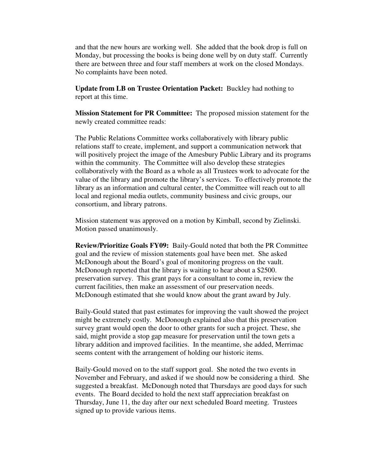and that the new hours are working well. She added that the book drop is full on Monday, but processing the books is being done well by on duty staff. Currently there are between three and four staff members at work on the closed Mondays. No complaints have been noted.

**Update from LB on Trustee Orientation Packet:** Buckley had nothing to report at this time.

**Mission Statement for PR Committee:** The proposed mission statement for the newly created committee reads:

The Public Relations Committee works collaboratively with library public relations staff to create, implement, and support a communication network that will positively project the image of the Amesbury Public Library and its programs within the community. The Committee will also develop these strategies collaboratively with the Board as a whole as all Trustees work to advocate for the value of the library and promote the library's services. To effectively promote the library as an information and cultural center, the Committee will reach out to all local and regional media outlets, community business and civic groups, our consortium, and library patrons.

Mission statement was approved on a motion by Kimball, second by Zielinski. Motion passed unanimously.

**Review/Prioritize Goals FY09:** Baily-Gould noted that both the PR Committee goal and the review of mission statements goal have been met. She asked McDonough about the Board's goal of monitoring progress on the vault. McDonough reported that the library is waiting to hear about a \$2500. preservation survey. This grant pays for a consultant to come in, review the current facilities, then make an assessment of our preservation needs. McDonough estimated that she would know about the grant award by July.

Baily-Gould stated that past estimates for improving the vault showed the project might be extremely costly. McDonough explained also that this preservation survey grant would open the door to other grants for such a project. These, she said, might provide a stop gap measure for preservation until the town gets a library addition and improved facilities. In the meantime, she added, Merrimac seems content with the arrangement of holding our historic items.

Baily-Gould moved on to the staff support goal. She noted the two events in November and February, and asked if we should now be considering a third. She suggested a breakfast. McDonough noted that Thursdays are good days for such events. The Board decided to hold the next staff appreciation breakfast on Thursday, June 11, the day after our next scheduled Board meeting. Trustees signed up to provide various items.